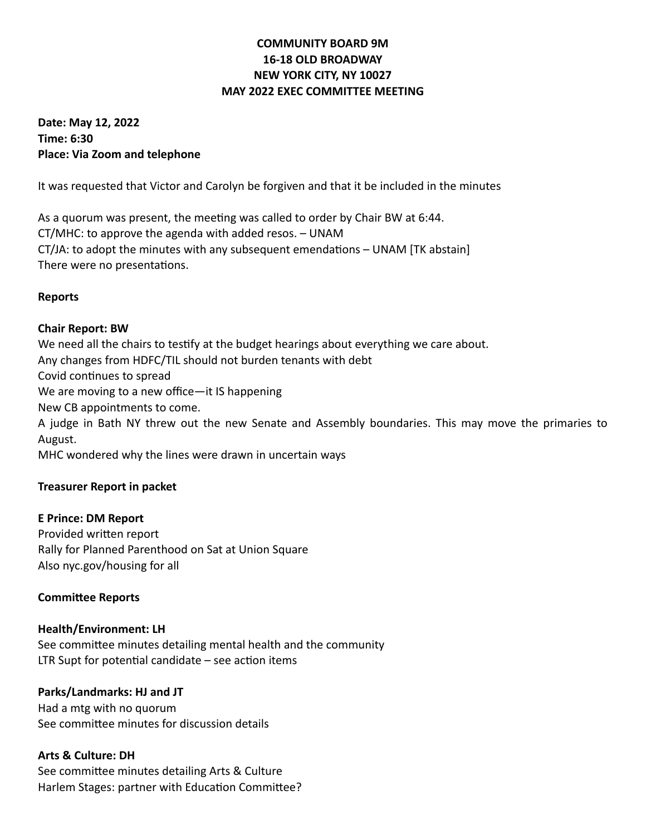## **COMMUNITY BOARD 9M 16-18 OLD BROADWAY NEW YORK CITY, NY 10027 MAY 2022 EXEC COMMITTEE MEETING**

**Date: May 12, 2022 Time: 6:30 Place: Via Zoom and telephone**

It was requested that Victor and Carolyn be forgiven and that it be included in the minutes

As a quorum was present, the meeting was called to order by Chair BW at 6:44. CT/MHC: to approve the agenda with added resos. – UNAM CT/JA: to adopt the minutes with any subsequent emendations – UNAM [TK abstain] There were no presentations.

### **Reports**

### **Chair Report: BW**

We need all the chairs to testify at the budget hearings about everything we care about. Any changes from HDFC/TIL should not burden tenants with debt Covid continues to spread We are moving to a new office—it IS happening New CB appointments to come. A judge in Bath NY threw out the new Senate and Assembly boundaries. This may move the primaries to August. MHC wondered why the lines were drawn in uncertain ways

## **Treasurer Report in packet**

#### **E Prince: DM Report**

Provided written report Rally for Planned Parenthood on Sat at Union Square Also nyc.gov/housing for all

#### **Committee Reports**

#### **Health/Environment: LH**

See committee minutes detailing mental health and the community LTR Supt for potential candidate – see action items

### **Parks/Landmarks: HJ and JT**

Had a mtg with no quorum See committee minutes for discussion details

### **Arts & Culture: DH**

See committee minutes detailing Arts & Culture Harlem Stages: partner with Education Committee?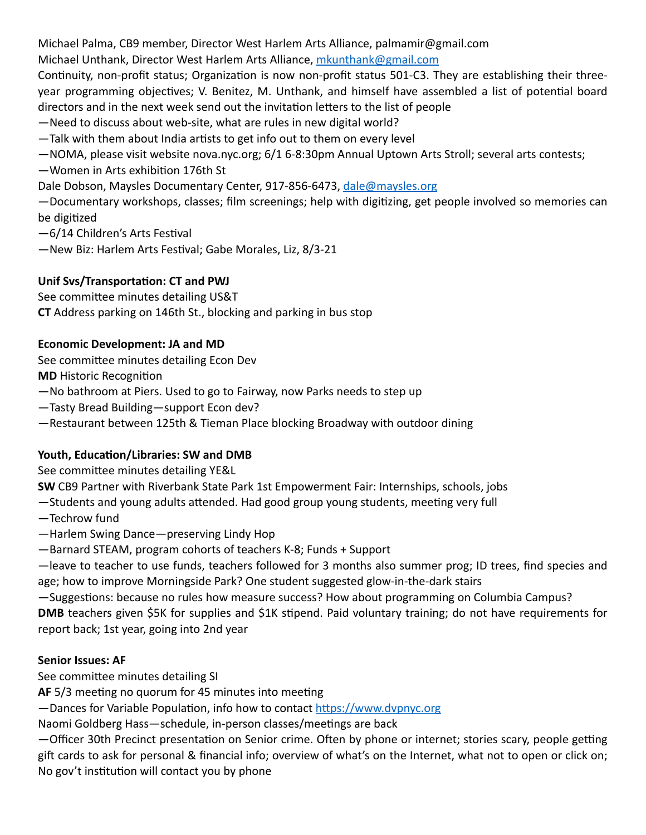Michael Palma, CB9 member, Director West Harlem Arts Alliance, palmamir@gmail.com

Michael Unthank, Director West Harlem Arts Alliance, [mkunthank@gmail.com](mailto:mkunthank@gmail.com)

Continuity, non-profit status; Organization is now non-profit status 501-C3. They are establishing their threeyear programming objectives; V. Benitez, M. Unthank, and himself have assembled a list of potential board directors and in the next week send out the invitation letters to the list of people

—Need to discuss about web-site, what are rules in new digital world?

—Talk with them about India artists to get info out to them on every level

—NOMA, please visit website nova.nyc.org; 6/1 6-8:30pm Annual Uptown Arts Stroll; several arts contests;

—Women in Arts exhibition 176th St

Dale Dobson, Maysles Documentary Center, 917-856-6473, [dale@maysles.org](mailto:dale@maysles.org)

—Documentary workshops, classes; film screenings; help with digitizing, get people involved so memories can be digitized

—6/14 Children's Arts Festival

—New Biz: Harlem Arts Festival; Gabe Morales, Liz, 8/3-21

# **Unif Svs/Transportation: CT and PWJ**

See committee minutes detailing US&T

**CT** Address parking on 146th St., blocking and parking in bus stop

# **Economic Development: JA and MD**

See committee minutes detailing Econ Dev

**MD** Historic Recognition

—No bathroom at Piers. Used to go to Fairway, now Parks needs to step up

—Tasty Bread Building—support Econ dev?

—Restaurant between 125th & Tieman Place blocking Broadway with outdoor dining

# **Youth, Education/Libraries: SW and DMB**

See committee minutes detailing YE&L

**SW** CB9 Partner with Riverbank State Park 1st Empowerment Fair: Internships, schools, jobs

—Students and young adults attended. Had good group young students, meeting very full

- —Techrow fund
- —Harlem Swing Dance—preserving Lindy Hop

—Barnard STEAM, program cohorts of teachers K-8; Funds + Support

—leave to teacher to use funds, teachers followed for 3 months also summer prog; ID trees, find species and age; how to improve Morningside Park? One student suggested glow-in-the-dark stairs

—Suggestions: because no rules how measure success? How about programming on Columbia Campus? **DMB** teachers given \$5K for supplies and \$1K stipend. Paid voluntary training; do not have requirements for report back; 1st year, going into 2nd year

# **Senior Issues: AF**

See committee minutes detailing SI

**AF** 5/3 meeting no quorum for 45 minutes into meeting

—Dances for Variable Population, info how to contact<https://www.dvpnyc.org>

Naomi Goldberg Hass—schedule, in-person classes/meetings are back

—Officer 30th Precinct presentation on Senior crime. Often by phone or internet; stories scary, people getting gift cards to ask for personal & financial info; overview of what's on the Internet, what not to open or click on; No gov't institution will contact you by phone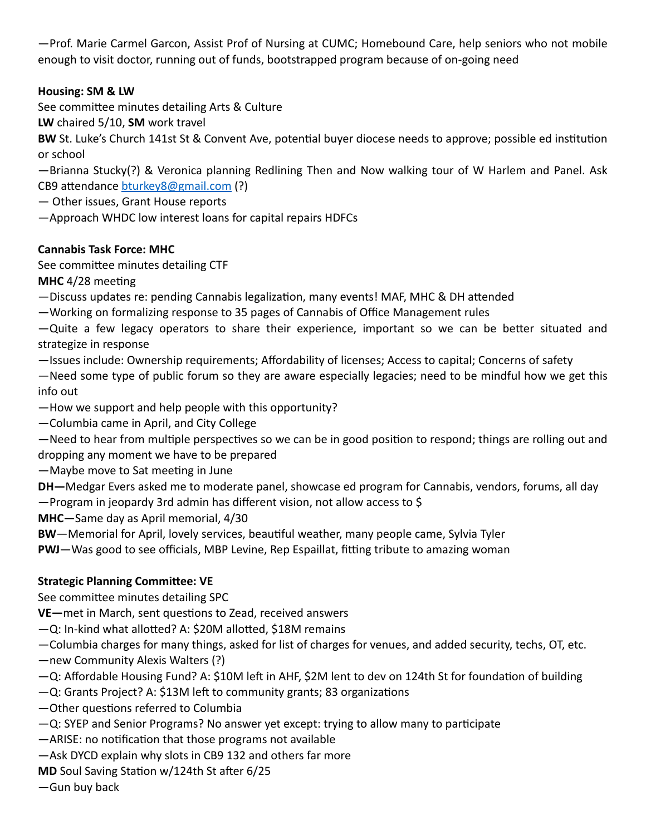—Prof. Marie Carmel Garcon, Assist Prof of Nursing at CUMC; Homebound Care, help seniors who not mobile enough to visit doctor, running out of funds, bootstrapped program because of on-going need

## **Housing: SM & LW**

See committee minutes detailing Arts & Culture

**LW** chaired 5/10, **SM** work travel

**BW** St. Luke's Church 141st St & Convent Ave, potential buyer diocese needs to approve; possible ed institution or school

—Brianna Stucky(?) & Veronica planning Redlining Then and Now walking tour of W Harlem and Panel. Ask CB9 attendance [bturkey8@gmail.com](mailto:bturkey8@gmail.com) (?)

— Other issues, Grant House reports

—Approach WHDC low interest loans for capital repairs HDFCs

## **Cannabis Task Force: MHC**

See committee minutes detailing CTF

**MHC** 4/28 meeting

—Discuss updates re: pending Cannabis legalization, many events! MAF, MHC & DH attended

—Working on formalizing response to 35 pages of Cannabis of Office Management rules

—Quite a few legacy operators to share their experience, important so we can be better situated and strategize in response

—Issues include: Ownership requirements; Affordability of licenses; Access to capital; Concerns of safety

—Need some type of public forum so they are aware especially legacies; need to be mindful how we get this info out

—How we support and help people with this opportunity?

—Columbia came in April, and City College

—Need to hear from multiple perspectives so we can be in good position to respond; things are rolling out and dropping any moment we have to be prepared

—Maybe move to Sat meeting in June

**DH—**Medgar Evers asked me to moderate panel, showcase ed program for Cannabis, vendors, forums, all day

—Program in jeopardy 3rd admin has different vision, not allow access to \$

**MHC**—Same day as April memorial, 4/30

**BW**—Memorial for April, lovely services, beautiful weather, many people came, Sylvia Tyler

**PWJ**—Was good to see officials, MBP Levine, Rep Espaillat, fitting tribute to amazing woman

## **Strategic Planning Committee: VE**

See committee minutes detailing SPC

**VE—**met in March, sent questions to Zead, received answers

—Q: In-kind what allotted? A: \$20M allotted, \$18M remains

—Columbia charges for many things, asked for list of charges for venues, and added security, techs, OT, etc.

—new Community Alexis Walters (?)

—Q: Affordable Housing Fund? A: \$10M left in AHF, \$2M lent to dev on 124th St for foundation of building

—Q: Grants Project? A: \$13M left to community grants; 83 organizations

—Other questions referred to Columbia

—Q: SYEP and Senior Programs? No answer yet except: trying to allow many to participate

—ARISE: no notification that those programs not available

—Ask DYCD explain why slots in CB9 132 and others far more

**MD** Soul Saving Station w/124th St after 6/25

—Gun buy back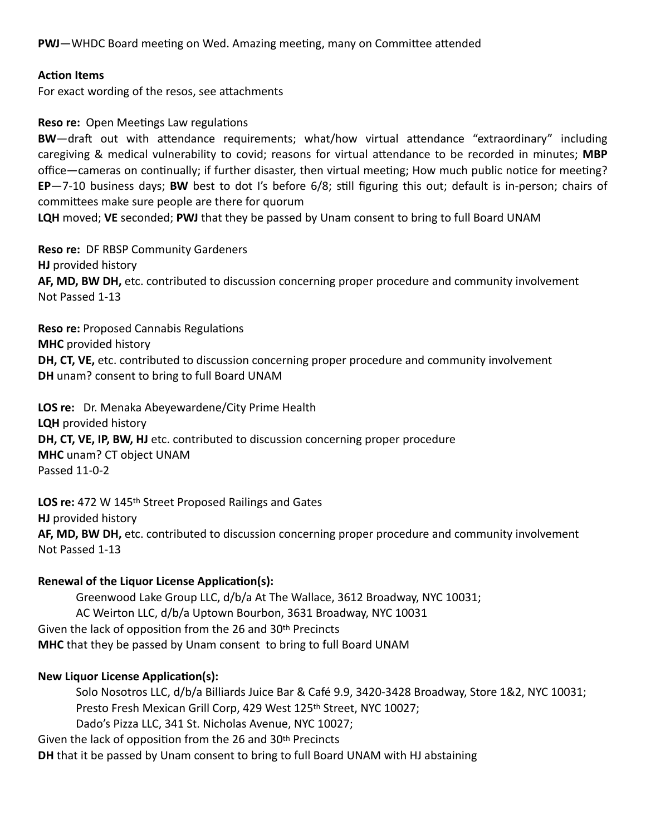**PWJ**—WHDC Board meeting on Wed. Amazing meeting, many on Committee attended

### **Action Items**

For exact wording of the resos, see attachments

### **Reso re:** Open Meetings Law regulations

**BW**—draft out with attendance requirements; what/how virtual attendance "extraordinary" including caregiving & medical vulnerability to covid; reasons for virtual attendance to be recorded in minutes; **MBP** office—cameras on continually; if further disaster, then virtual meeting; How much public notice for meeting? **EP**—7-10 business days; **BW** best to dot I's before 6/8; still figuring this out; default is in-person; chairs of committees make sure people are there for quorum

**LQH** moved; **VE** seconded; **PWJ** that they be passed by Unam consent to bring to full Board UNAM

**Reso re:** DF RBSP Community Gardeners **HJ** provided history **AF, MD, BW DH,** etc. contributed to discussion concerning proper procedure and community involvement Not Passed 1-13

**Reso re:** Proposed Cannabis Regulations **MHC** provided history **DH, CT, VE,** etc. contributed to discussion concerning proper procedure and community involvement **DH** unam? consent to bring to full Board UNAM

**LOS re:** Dr. Menaka Abeyewardene/City Prime Health **LQH** provided history **DH, CT, VE, IP, BW, HJ** etc. contributed to discussion concerning proper procedure **MHC** unam? CT object UNAM Passed 11-0-2

**LOS re:** 472 W 145th Street Proposed Railings and Gates **HJ** provided history **AF, MD, BW DH,** etc. contributed to discussion concerning proper procedure and community involvement Not Passed 1-13

### **Renewal of the Liquor License Application(s):**

Greenwood Lake Group LLC, d/b/a At The Wallace, 3612 Broadway, NYC 10031; AC Weirton LLC, d/b/a Uptown Bourbon, 3631 Broadway, NYC 10031 Given the lack of opposition from the 26 and 30th Precincts **MHC** that they be passed by Unam consent to bring to full Board UNAM

### **New Liquor License Application(s):**

Solo Nosotros LLC, d/b/a Billiards Juice Bar & Café 9.9, 3420-3428 Broadway, Store 1&2, NYC 10031; Presto Fresh Mexican Grill Corp, 429 West 125th Street, NYC 10027; Dado's Pizza LLC, 341 St. Nicholas Avenue, NYC 10027; Given the lack of opposition from the 26 and 30th Precincts

**DH** that it be passed by Unam consent to bring to full Board UNAM with HJ abstaining